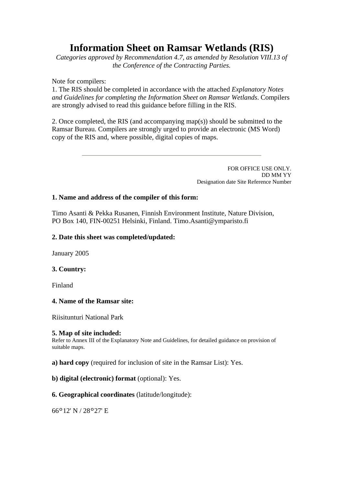# **Information Sheet on Ramsar Wetlands (RIS)**

*Categories approved by Recommendation 4.7, as amended by Resolution VIII.13 of the Conference of the Contracting Parties.*

Note for compilers:

1. The RIS should be completed in accordance with the attached *Explanatory Notes and Guidelines for completing the Information Sheet on Ramsar Wetlands*. Compilers are strongly advised to read this guidance before filling in the RIS.

2. Once completed, the RIS (and accompanying map(s)) should be submitted to the Ramsar Bureau. Compilers are strongly urged to provide an electronic (MS Word) copy of the RIS and, where possible, digital copies of maps.

> FOR OFFICE USE ONLY. DD MM YY Designation date Site Reference Number

# **1. Name and address of the compiler of this form:**

Timo Asanti & Pekka Rusanen, Finnish Environment Institute, Nature Division, PO Box 140, FIN-00251 Helsinki, Finland. Timo.Asanti@ymparisto.fi

# **2. Date this sheet was completed/updated:**

January 2005

# **3. Country:**

Finland

# **4. Name of the Ramsar site:**

Riisitunturi National Park

#### **5. Map of site included:**

Refer to Annex III of the Explanatory Note and Guidelines, for detailed guidance on provision of suitable maps.

**a) hard copy** (required for inclusion of site in the Ramsar List): Yes.

# **b) digital (electronic) format** (optional): Yes.

# **6. Geographical coordinates** (latitude/longitude):

66º12' N / 28º27' E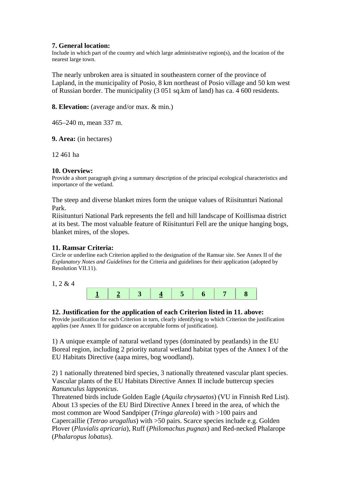**7. General location:** Include in which part of the country and which large administrative region(s), and the location of the nearest large town.

The nearly unbroken area is situated in southeastern corner of the province of Lapland, in the municipality of Posio, 8 km northeast of Posio village and 50 km west of Russian border. The municipality (3 051 sq.km of land) has ca. 4 600 residents.

**8. Elevation:** (average and/or max. & min.)

465–240 m, mean 337 m.

**9. Area:** (in hectares)

12 461 ha

#### **10. Overview:**

Provide a short paragraph giving a summary description of the principal ecological characteristics and importance of the wetland.

The steep and diverse blanket mires form the unique values of Riisitunturi National Park.

Riisitunturi National Park represents the fell and hill landscape of Koillismaa district at its best. The most valuable feature of Riisitunturi Fell are the unique hanging bogs, blanket mires, of the slopes.

# **11. Ramsar Criteria:**

Circle or underline each Criterion applied to the designation of the Ramsar site. See Annex II of the *Explanatory Notes and Guidelines* for the Criteria and guidelines for their application (adopted by Resolution VII.11).

1, 2 & 4



# **12. Justification for the application of each Criterion listed in 11. above:**

Provide justification for each Criterion in turn, clearly identifying to which Criterion the justification applies (see Annex II for guidance on acceptable forms of justification).

1) A unique example of natural wetland types (dominated by peatlands) in the EU Boreal region, including 2 priority natural wetland habitat types of the Annex I of the EU Habitats Directive (aapa mires, bog woodland).

2) 1 nationally threatened bird species, 3 nationally threatened vascular plant species. Vascular plants of the EU Habitats Directive Annex II include buttercup species *Ranunculus lapponicus*.

Threatened birds include Golden Eagle (*Aquila chrysaetos*) (VU in Finnish Red List). About 13 species of the EU Bird Directive Annex I breed in the area, of which the most common are Wood Sandpiper (*Tringa glareola*) with >100 pairs and Capercaillie (*Tetrao urogallus*) with >50 pairs. Scarce species include e.g. Golden Plover (*Pluvialis apricaria*), Ruff (*Philomachus pugnax*) and Red-necked Phalarope (*Phalaropus lobatus*).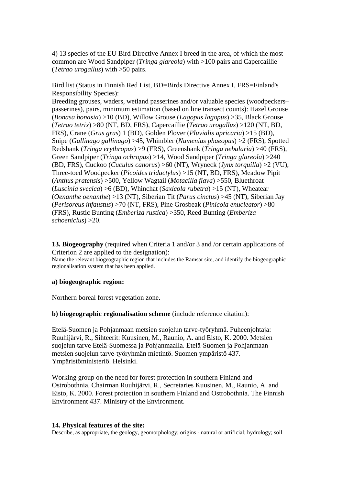4) 13 species of the EU Bird Directive Annex I breed in the area, of which the most common are Wood Sandpiper (*Tringa glareola*) with >100 pairs and Capercaillie (*Tetrao urogallus*) with >50 pairs.

Bird list (Status in Finnish Red List, BD=Birds Directive Annex I, FRS=Finland's Responsibility Species):

Breeding grouses, waders, wetland passerines and/or valuable species (woodpeckers– passerines), pairs, minimum estimation (based on line transect counts): Hazel Grouse (*Bonasa bonasia*) >10 (BD), Willow Grouse (*Lagopus lagopus*) >35, Black Grouse (*Tetrao tetrix*) >80 (NT, BD, FRS), Capercaillie (*Tetrao urogallus*) >120 (NT, BD, FRS), Crane (*Grus grus*) 1 (BD), Golden Plover (*Pluvialis apricaria*) >15 (BD), Snipe (*Gallinago gallinago*) >45, Whimbler (*Numenius phaeopus*) >2 (FRS), Spotted Redshank (*Tringa erythropus*) >9 (FRS), Greenshank (*Tringa nebularia*) >40 (FRS), Green Sandpiper (*Tringa ochropus*) >14, Wood Sandpiper (*Tringa glareola*) >240 (BD, FRS), Cuckoo (*Cuculus canorus*) >60 (NT), Wryneck (*Jynx torquilla*) >2 (VU), Three-toed Woodpecker (*Picoides tridactylus*) >15 (NT, BD, FRS), Meadow Pipit (*Anthus pratensis*) >500, Yellow Wagtail (*Motacilla flava*) >550, Bluethroat (*Luscinia svecica*) >6 (BD), Whinchat (*Saxicola rubetra*) >15 (NT), Wheatear (*Oenanthe oenanthe*) >13 (NT), Siberian Tit (*Parus cinctus*) >45 (NT), Siberian Jay (*Perisoreus infaustus*) >70 (NT, FRS), Pine Grosbeak (*Pinicola enucleator*) >80 (FRS), Rustic Bunting (*Emberiza rustica*) >350, Reed Bunting (*Emberiza schoeniclus*) >20.

**13. Biogeography** (required when Criteria 1 and/or 3 and /or certain applications of Criterion 2 are applied to the designation):

Name the relevant biogeographic region that includes the Ramsar site, and identify the biogeographic regionalisation system that has been applied.

#### **a) biogeographic region:**

Northern boreal forest vegetation zone.

**b) biogeographic regionalisation scheme** (include reference citation):

Etelä-Suomen ja Pohjanmaan metsien suojelun tarve-työryhmä. Puheenjohtaja: Ruuhijärvi, R., Sihteerit: Kuusinen, M., Raunio, A. and Eisto, K. 2000. Metsien suojelun tarve Etelä-Suomessa ja Pohjanmaalla. Etelä-Suomen ja Pohjanmaan metsien suojelun tarve-työryhmän mietintö. Suomen ympäristö 437. Ympäristöministeriö. Helsinki.

Working group on the need for forest protection in southern Finland and Ostrobothnia. Chairman Ruuhijärvi, R., Secretaries Kuusinen, M., Raunio, A. and Eisto, K. 2000. Forest protection in southern Finland and Ostrobothnia. The Finnish Environment 437. Ministry of the Environment.

#### **14. Physical features of the site:**

Describe, as appropriate, the geology, geomorphology; origins - natural or artificial; hydrology; soil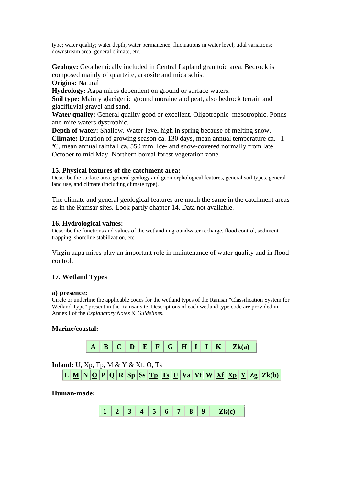type; water quality; water depth, water permanence; fluctuations in water level; tidal variations; downstream area; general climate, etc.

**Geology:** Geochemically included in Central Lapland granitoid area. Bedrock is composed mainly of quartzite, arkosite and mica schist.

**Origins:** Natural

**Hydrology:** Aapa mires dependent on ground or surface waters.

**Soil type:** Mainly glacigenic ground moraine and peat, also bedrock terrain and glacifluvial gravel and sand.

**Water quality:** General quality good or excellent. Oligotrophic–mesotrophic. Ponds and mire waters dystrophic.

**Depth of water:** Shallow. Water-level high in spring because of melting snow. **Climate:** Duration of growing season ca. 130 days, mean annual temperature ca. –1 ºC, mean annual rainfall ca. 550 mm. Ice- and snow-covered normally from late October to mid May. Northern boreal forest vegetation zone.

# **15. Physical features of the catchment area:**

Describe the surface area, general geology and geomorphological features, general soil types, general land use, and climate (including climate type).

The climate and general geological features are much the same in the catchment areas as in the Ramsar sites. Look partly chapter 14. Data not available.

# **16. Hydrological values:**

Describe the functions and values of the wetland in groundwater recharge, flood control, sediment trapping, shoreline stabilization, etc.

Virgin aapa mires play an important role in maintenance of water quality and in flood control.

# **17. Wetland Types**

#### **a) presence:**

Circle or underline the applicable codes for the wetland types of the Ramsar "Classification System for Wetland Type" present in the Ramsar site. Descriptions of each wetland type code are provided in Annex I of the *Explanatory Notes & Guidelines*.

# **Marine/coastal:**

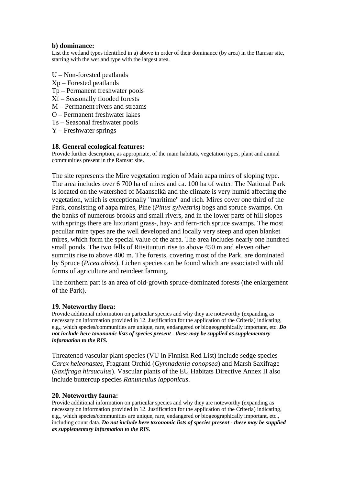#### **b) dominance:**

List the wetland types identified in a) above in order of their dominance (by area) in the Ramsar site, starting with the wetland type with the largest area.

- U Non-forested peatlands
- Xp Forested peatlands
- Tp Permanent freshwater pools
- Xf Seasonally flooded forests
- M Permanent rivers and streams
- O Permanent freshwater lakes
- Ts Seasonal freshwater pools
- Y Freshwater springs

#### **18. General ecological features:**

Provide further description, as appropriate, of the main habitats, vegetation types, plant and animal communities present in the Ramsar site.

The site represents the Mire vegetation region of Main aapa mires of sloping type. The area includes over 6 700 ha of mires and ca. 100 ha of water. The National Park is located on the watershed of Maanselkä and the climate is very humid affecting the vegetation, which is exceptionally "maritime" and rich. Mires cover one third of the Park, consisting of aapa mires, Pine (*Pinus sylvestris*) bogs and spruce swamps. On the banks of numerous brooks and small rivers, and in the lower parts of hill slopes with springs there are luxuriant grass-, hay- and fern-rich spruce swamps. The most peculiar mire types are the well developed and locally very steep and open blanket mires, which form the special value of the area. The area includes nearly one hundred small ponds. The two fells of Riisitunturi rise to above 450 m and eleven other summits rise to above 400 m. The forests, covering most of the Park, are dominated by Spruce (*Picea abies*). Lichen species can be found which are associated with old forms of agriculture and reindeer farming.

The northern part is an area of old-growth spruce-dominated forests (the enlargement of the Park).

# **19. Noteworthy flora:**

Provide additional information on particular species and why they are noteworthy (expanding as necessary on information provided in 12. Justification for the application of the Criteria) indicating, e.g., which species/communities are unique, rare, endangered or biogeographically important, etc. *Do not include here taxonomic lists of species present - these may be supplied as supplementary information to the RIS.*

Threatened vascular plant species (VU in Finnish Red List) include sedge species *Carex heleonastes*, Fragrant Orchid (*Gymnadenia conopsea*) and Marsh Saxifrage (*Saxifraga hirsuculus*). Vascular plants of the EU Habitats Directive Annex II also include buttercup species *Ranunculus lapponicus*.

#### **20. Noteworthy fauna:**

Provide additional information on particular species and why they are noteworthy (expanding as necessary on information provided in 12. Justification for the application of the Criteria) indicating, e.g., which species/communities are unique, rare, endangered or biogeographically important, etc., including count data. *Do not include here taxonomic lists of species present - these may be supplied as supplementary information to the RIS.*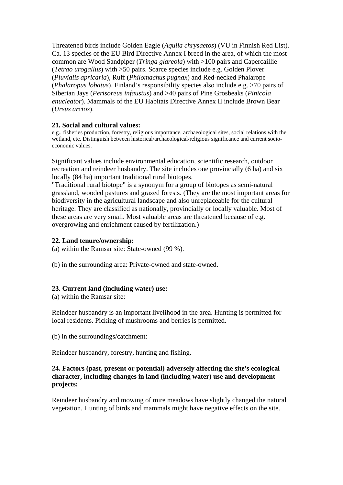Threatened birds include Golden Eagle (*Aquila chrysaetos*) (VU in Finnish Red List). Ca. 13 species of the EU Bird Directive Annex I breed in the area, of which the most common are Wood Sandpiper (*Tringa glareola*) with >100 pairs and Capercaillie (*Tetrao urogallus*) with >50 pairs. Scarce species include e.g. Golden Plover (*Pluvialis apricaria*), Ruff (*Philomachus pugnax*) and Red-necked Phalarope (*Phalaropus lobatus*). Finland's responsibility species also include e.g. >70 pairs of Siberian Jays (*Perisoreus infaustus*) and >40 pairs of Pine Grosbeaks (*Pinicola enucleator*). Mammals of the EU Habitats Directive Annex II include Brown Bear (*Ursus arctos*).

# **21. Social and cultural values:**

e.g., fisheries production, forestry, religious importance, archaeological sites, social relations with the wetland, etc. Distinguish between historical/archaeological/religious significance and current socioeconomic values.

Significant values include environmental education, scientific research, outdoor recreation and reindeer husbandry. The site includes one provincially (6 ha) and six locally (84 ha) important traditional rural biotopes.

"Traditional rural biotope" is a synonym for a group of biotopes as semi-natural grassland, wooded pastures and grazed forests. (They are the most important areas for biodiversity in the agricultural landscape and also unreplaceable for the cultural heritage. They are classified as nationally, provincially or locally valuable. Most of these areas are very small. Most valuable areas are threatened because of e.g. overgrowing and enrichment caused by fertilization.)

# **22. Land tenure/ownership:**

(a) within the Ramsar site: State-owned (99 %).

(b) in the surrounding area: Private-owned and state-owned.

# **23. Current land (including water) use:**

(a) within the Ramsar site:

Reindeer husbandry is an important livelihood in the area. Hunting is permitted for local residents. Picking of mushrooms and berries is permitted.

(b) in the surroundings/catchment:

Reindeer husbandry, forestry, hunting and fishing.

# **24. Factors (past, present or potential) adversely affecting the site's ecological character, including changes in land (including water) use and development projects:**

Reindeer husbandry and mowing of mire meadows have slightly changed the natural vegetation. Hunting of birds and mammals might have negative effects on the site.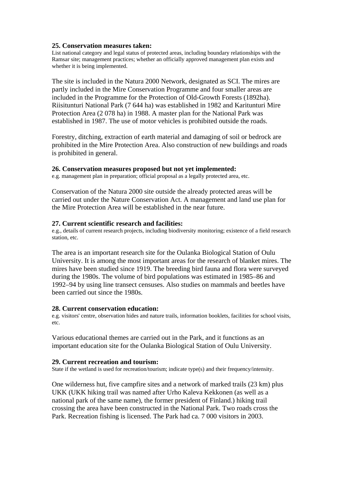#### **25. Conservation measures taken:**

List national category and legal status of protected areas, including boundary relationships with the Ramsar site; management practices; whether an officially approved management plan exists and whether it is being implemented.

The site is included in the Natura 2000 Network, designated as SCI. The mires are partly included in the Mire Conservation Programme and four smaller areas are included in the Programme for the Protection of Old-Growth Forests (1892ha). Riisitunturi National Park (7 644 ha) was established in 1982 and Karitunturi Mire Protection Area (2 078 ha) in 1988. A master plan for the National Park was established in 1987. The use of motor vehicles is prohibited outside the roads.

Forestry, ditching, extraction of earth material and damaging of soil or bedrock are prohibited in the Mire Protection Area. Also construction of new buildings and roads is prohibited in general.

#### **26. Conservation measures proposed but not yet implemented:**

e.g. management plan in preparation; official proposal as a legally protected area, etc.

Conservation of the Natura 2000 site outside the already protected areas will be carried out under the Nature Conservation Act. A management and land use plan for the Mire Protection Area will be established in the near future.

#### **27. Current scientific research and facilities:**

e.g., details of current research projects, including biodiversity monitoring; existence of a field research station, etc.

The area is an important research site for the Oulanka Biological Station of Oulu University. It is among the most important areas for the research of blanket mires. The mires have been studied since 1919. The breeding bird fauna and flora were surveyed during the 1980s. The volume of bird populations was estimated in 1985–86 and 1992–94 by using line transect censuses. Also studies on mammals and beetles have been carried out since the 1980s.

#### **28. Current conservation education:**

e.g. visitors' centre, observation hides and nature trails, information booklets, facilities for school visits, etc.

Various educational themes are carried out in the Park, and it functions as an important education site for the Oulanka Biological Station of Oulu University.

# **29. Current recreation and tourism:**

State if the wetland is used for recreation/tourism; indicate type(s) and their frequency/intensity.

One wilderness hut, five campfire sites and a network of marked trails (23 km) plus UKK (UKK hiking trail was named after Urho Kaleva Kekkonen (as well as a national park of the same name), the former president of Finland.) hiking trail crossing the area have been constructed in the National Park. Two roads cross the Park. Recreation fishing is licensed. The Park had ca. 7 000 visitors in 2003.